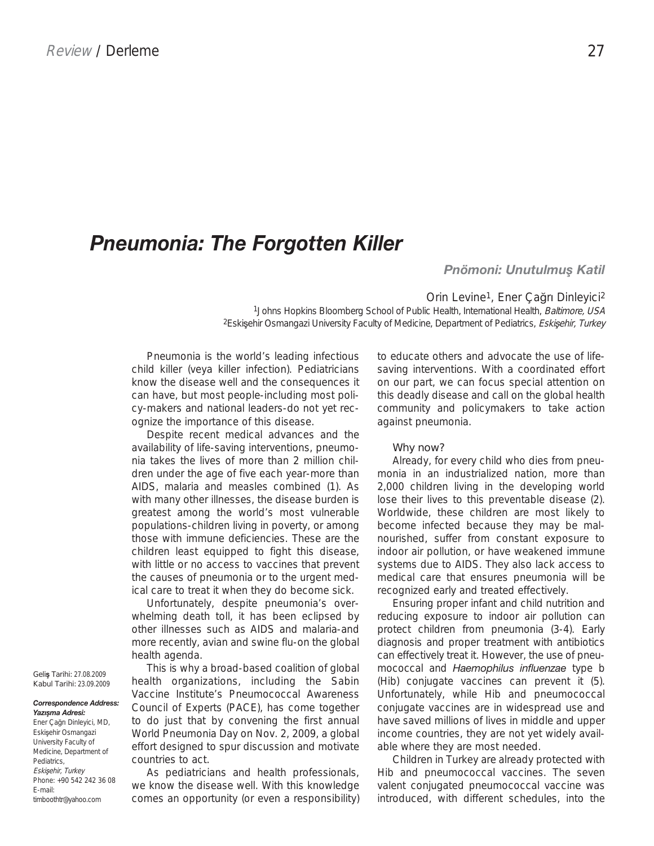## *Pneumonia: The Forgotten Killer*

*Pnömoni: Unutulmuş Katil*

Orin Levine<sup>1</sup>, Ener Çağrı Dinleyici<sup>2</sup> 1Johns Hopkins Bloomberg School of Public Health, International Health, Baltimore, USA <sup>2</sup>Eskişehir Osmangazi University Faculty of Medicine, Department of Pediatrics, Eskişehir, Turkey

Pneumonia is the world's leading infectious child killer (veya killer infection). Pediatricians know the disease well and the consequences it can have, but most people-including most policy-makers and national leaders-do not yet recognize the importance of this disease.

Despite recent medical advances and the availability of life-saving interventions, pneumonia takes the lives of more than 2 million children under the age of five each year-more than AIDS, malaria and measles combined (1). As with many other illnesses, the disease burden is greatest among the world's most vulnerable populations-children living in poverty, or among those with immune deficiencies. These are the children least equipped to fight this disease, with little or no access to vaccines that prevent the causes of pneumonia or to the urgent medical care to treat it when they do become sick.

Unfortunately, despite pneumonia's overwhelming death toll, it has been eclipsed by other illnesses such as AIDS and malaria-and more recently, avian and swine flu-on the global health agenda.

This is why a broad-based coalition of global health organizations, including the Sabin Vaccine Institute's Pneumococcal Awareness Council of Experts (PACE), has come together to do just that by convening the first annual World Pneumonia Day on Nov. 2, 2009, a global effort designed to spur discussion and motivate countries to act.

As pediatricians and health professionals, we know the disease well. With this knowledge comes an opportunity (or even a responsibility) to educate others and advocate the use of lifesaving interventions. With a coordinated effort on our part, we can focus special attention on this deadly disease and call on the global health community and policymakers to take action against pneumonia.

## **Why now?**

Already, for every child who dies from pneumonia in an industrialized nation, more than 2,000 children living in the developing world lose their lives to this preventable disease (2). Worldwide, these children are most likely to become infected because they may be malnourished, suffer from constant exposure to indoor air pollution, or have weakened immune systems due to AIDS. They also lack access to medical care that ensures pneumonia will be recognized early and treated effectively.

Ensuring proper infant and child nutrition and reducing exposure to indoor air pollution can protect children from pneumonia (3-4). Early diagnosis and proper treatment with antibiotics can effectively treat it. However, the use of pneumococcal and Haemophilus influenzae type b (Hib) conjugate vaccines can prevent it (5). Unfortunately, while Hib and pneumococcal conjugate vaccines are in widespread use and have saved millions of lives in middle and upper income countries, they are not yet widely available where they are most needed.

Children in Turkey are already protected with Hib and pneumococcal vaccines. The seven valent conjugated pneumococcal vaccine was introduced, with different schedules, into the

**Geliù Tarihi:** 27.08.2009 **Kabul Tarihi:** 23.09.2009

*Correspondence Address: Yazışma Adresi:*

**11** timboothtr@yahoo.com Ener Çağrı Dinleyici, MD, Eskisehir Osmangazi University Faculty of Medicine, Department of Pediatrics, Eskisehir, Turkey Phone: +90 542 242 36 08 E-mail: